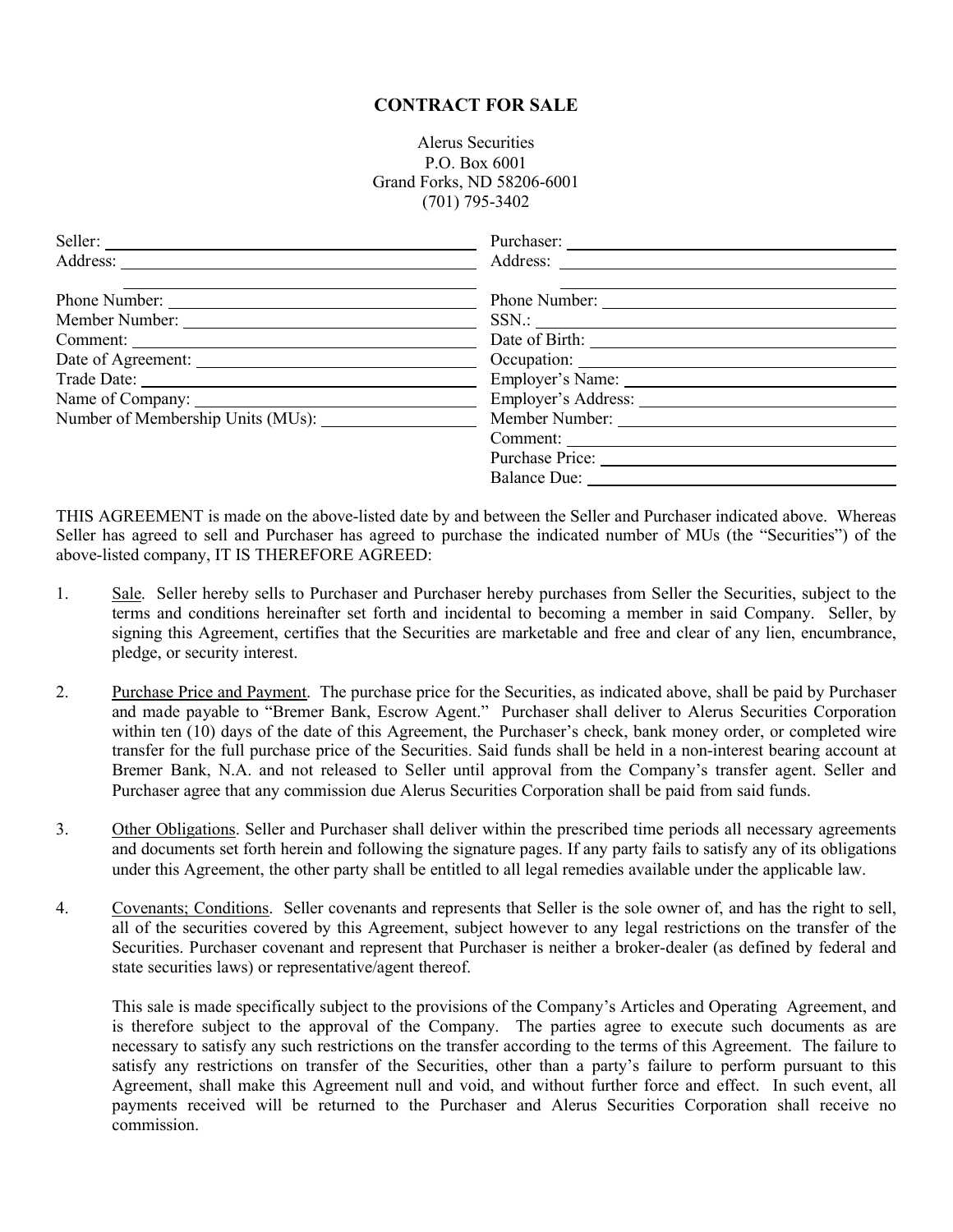## **CONTRACT FOR SALE**

Alerus Securities P.O. Box 6001 Grand Forks, ND 58206-6001 (701) 795-3402

| Phone Number:                     | Phone Number: |  |
|-----------------------------------|---------------|--|
|                                   |               |  |
|                                   |               |  |
|                                   |               |  |
|                                   |               |  |
|                                   |               |  |
| Number of Membership Units (MUs): |               |  |
|                                   | Comment:      |  |
|                                   |               |  |
|                                   |               |  |
|                                   |               |  |

THIS AGREEMENT is made on the above-listed date by and between the Seller and Purchaser indicated above. Whereas Seller has agreed to sell and Purchaser has agreed to purchase the indicated number of MUs (the "Securities") of the above-listed company, IT IS THEREFORE AGREED:

- 1. Sale. Seller hereby sells to Purchaser and Purchaser hereby purchases from Seller the Securities, subject to the terms and conditions hereinafter set forth and incidental to becoming a member in said Company. Seller, by signing this Agreement, certifies that the Securities are marketable and free and clear of any lien, encumbrance, pledge, or security interest.
- 2. Purchase Price and Payment. The purchase price for the Securities, as indicated above, shall be paid by Purchaser and made payable to "Bremer Bank, Escrow Agent." Purchaser shall deliver to Alerus Securities Corporation within ten (10) days of the date of this Agreement, the Purchaser's check, bank money order, or completed wire transfer for the full purchase price of the Securities. Said funds shall be held in a non-interest bearing account at Bremer Bank, N.A. and not released to Seller until approval from the Company's transfer agent. Seller and Purchaser agree that any commission due Alerus Securities Corporation shall be paid from said funds.
- 3. Other Obligations. Seller and Purchaser shall deliver within the prescribed time periods all necessary agreements and documents set forth herein and following the signature pages. If any party fails to satisfy any of its obligations under this Agreement, the other party shall be entitled to all legal remedies available under the applicable law.
- 4. Covenants; Conditions. Seller covenants and represents that Seller is the sole owner of, and has the right to sell, all of the securities covered by this Agreement, subject however to any legal restrictions on the transfer of the Securities. Purchaser covenant and represent that Purchaser is neither a broker-dealer (as defined by federal and state securities laws) or representative/agent thereof.

This sale is made specifically subject to the provisions of the Company's Articles and Operating Agreement, and is therefore subject to the approval of the Company. The parties agree to execute such documents as are necessary to satisfy any such restrictions on the transfer according to the terms of this Agreement. The failure to satisfy any restrictions on transfer of the Securities, other than a party's failure to perform pursuant to this Agreement, shall make this Agreement null and void, and without further force and effect. In such event, all payments received will be returned to the Purchaser and Alerus Securities Corporation shall receive no commission.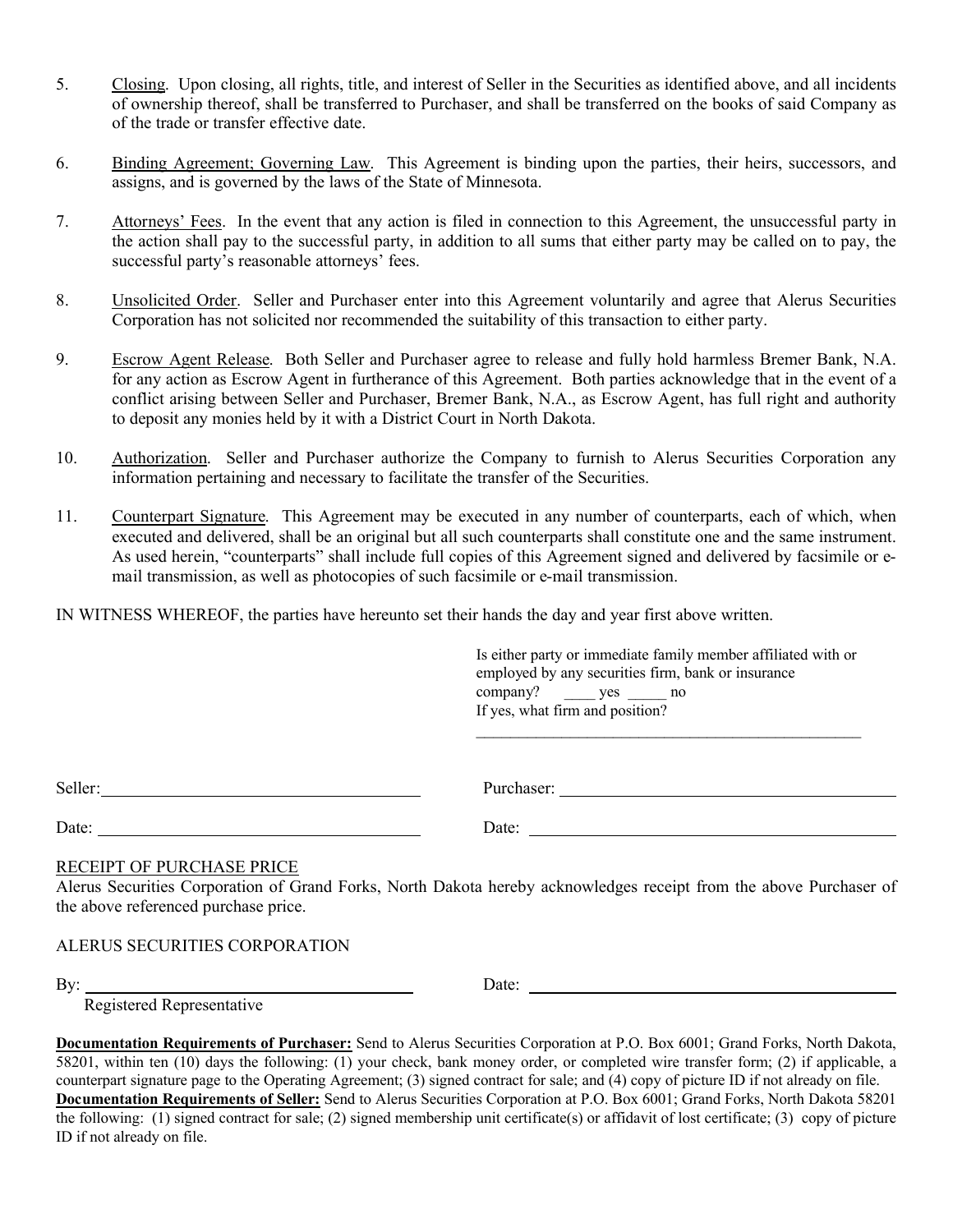- 5. Closing. Upon closing, all rights, title, and interest of Seller in the Securities as identified above, and all incidents of ownership thereof, shall be transferred to Purchaser, and shall be transferred on the books of said Company as of the trade or transfer effective date.
- 6. Binding Agreement; Governing Law. This Agreement is binding upon the parties, their heirs, successors, and assigns, and is governed by the laws of the State of Minnesota.
- 7. Attorneys' Fees. In the event that any action is filed in connection to this Agreement, the unsuccessful party in the action shall pay to the successful party, in addition to all sums that either party may be called on to pay, the successful party's reasonable attorneys' fees.
- 8. Unsolicited Order. Seller and Purchaser enter into this Agreement voluntarily and agree that Alerus Securities Corporation has not solicited nor recommended the suitability of this transaction to either party.
- 9. Escrow Agent Release. Both Seller and Purchaser agree to release and fully hold harmless Bremer Bank, N.A. for any action as Escrow Agent in furtherance of this Agreement. Both parties acknowledge that in the event of a conflict arising between Seller and Purchaser, Bremer Bank, N.A., as Escrow Agent, has full right and authority to deposit any monies held by it with a District Court in North Dakota.
- 10. Authorization. Seller and Purchaser authorize the Company to furnish to Alerus Securities Corporation any information pertaining and necessary to facilitate the transfer of the Securities.
- 11. Counterpart Signature. This Agreement may be executed in any number of counterparts, each of which, when executed and delivered, shall be an original but all such counterparts shall constitute one and the same instrument. As used herein, "counterparts" shall include full copies of this Agreement signed and delivered by facsimile or email transmission, as well as photocopies of such facsimile or e-mail transmission.

IN WITNESS WHEREOF, the parties have hereunto set their hands the day and year first above written.

Is either party or immediate family member affiliated with or employed by any securities firm, bank or insurance company? \_\_\_\_ yes \_\_\_\_\_ no If yes, what firm and position?

 $\mathcal{L}_\text{max}$  and the contract of the contract of the contract of the contract of the contract of the contract of the contract of the contract of the contract of the contract of the contract of the contract of the contrac

Purchaser:

Date: Date: Date: Date: Date: Date: Date: Date: Date: Date: Date: Date: Date: Date: Date: Date: Date: Date: Date: Date: Date: Date: Date: Date: Date: Date: Date: Date: Date: Date: Date: Date: Date: Date: Date: Date: Date:

## RECEIPT OF PURCHASE PRICE

Alerus Securities Corporation of Grand Forks, North Dakota hereby acknowledges receipt from the above Purchaser of the above referenced purchase price.

ALERUS SECURITIES CORPORATION

By: Date:

Registered Representative

**Documentation Requirements of Purchaser:** Send to Alerus Securities Corporation at P.O. Box 6001; Grand Forks, North Dakota, 58201, within ten (10) days the following: (1) your check, bank money order, or completed wire transfer form; (2) if applicable, a counterpart signature page to the Operating Agreement; (3) signed contract for sale; and (4) copy of picture ID if not already on file. **Documentation Requirements of Seller:** Send to Alerus Securities Corporation at P.O. Box 6001; Grand Forks, North Dakota 58201 the following: (1) signed contract for sale; (2) signed membership unit certificate(s) or affidavit of lost certificate; (3) copy of picture ID if not already on file.